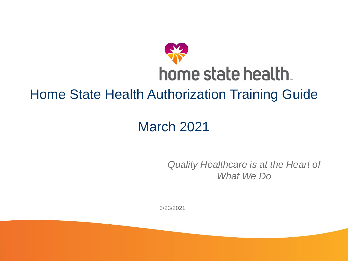

## Home State Health Authorization Training Guide

## March 2021

*Quality Healthcare is at the Heart of What We Do*

3/23/2021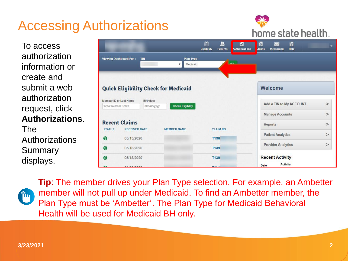## Accessing Authorizations



To access authorization information or create and submit a web authorization request, click **Authorizations**.

The Authorizations Summary displays.

|                        |                                              |                                                            | 圇<br>里<br>M<br><b>Eligibility</b><br><b>Patients</b><br><b>Authorizations</b> | 衍<br>G<br>$\smallsmile$<br><b>Claims</b><br><b>Help</b><br><b>Messaging</b> | ۰      |
|------------------------|----------------------------------------------|------------------------------------------------------------|-------------------------------------------------------------------------------|-----------------------------------------------------------------------------|--------|
|                        | <b>Viewing Dashboard For:</b><br><b>TIN</b>  | Plan Type<br>Medicaid<br>$\overline{\mathbf{v}}$           | لمنم                                                                          |                                                                             |        |
|                        |                                              | <b>Quick Eligibility Check for Medicaid</b>                |                                                                               | Welcome                                                                     |        |
| 123456789 or Smith     | Member ID or Last Name                       | <b>Birthdate</b><br><b>Check Eligibility</b><br>mm/dd/yyyy |                                                                               | Add a TIN to My ACCOUNT                                                     | $\geq$ |
|                        |                                              |                                                            |                                                                               | <b>Manage Accounts</b>                                                      | >      |
| <b>STATUS</b>          | <b>Recent Claims</b><br><b>RECEIVED DATE</b> | <b>MEMBER NAME</b>                                         | <b>CLAIM NO.</b>                                                              | Reports                                                                     | $\geq$ |
| G                      | 05/15/2020                                   |                                                            | <b>T136</b>                                                                   | <b>Patient Analytics</b>                                                    | $\,>$  |
| <b>S</b><br>05/18/2020 |                                              |                                                            | T139                                                                          | <b>Provider Analytics</b>                                                   | $\!>$  |
| <sub>(S)</sub>         | 05/18/2020                                   |                                                            | T139                                                                          | <b>Recent Activity</b>                                                      |        |
| A                      | <b><i><u>AIAAIAAAA</u></i></b>               |                                                            | TAA A                                                                         | <b>Activity</b><br>Date                                                     |        |



**Tip**: The member drives your Plan Type selection. For example, an Ambetter member will not pull up under Medicaid. To find an Ambetter member, the Plan Type must be 'Ambetter'. The Plan Type for Medicaid Behavioral Health will be used for Medicaid BH only.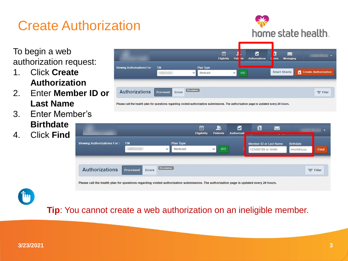## Create Authorization

To begin a web authorization request:

- 1. Click **Create Authorization**
- 2. Enter **Member ID or Last Name**
- 3. Enter Member's
	- **Birthdate**
- 4. Click **Find**



home state health.





**Tip**: You cannot create a web authorization on an ineligible member.

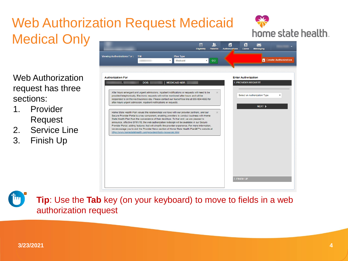#### Web Authorization Request Medicaid Medical Only 齡  $\mathbf{u}$ Ø

Web Authorization request has three sections:

- 1. Provider Request
- 2. Service Line
- 3. Finish Up



**Tip**: Use the **Tab** key (on your keyboard) to move to fields in a web authorization request

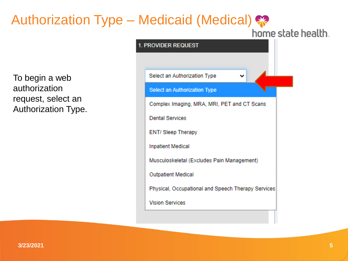## Authorization Type – Medicaid (Medical)

 $1.1$ 

home state health.

To begin a web authorization request, select an Authorization Type.

| <b>PROVIDER REQUEST</b>                            |
|----------------------------------------------------|
|                                                    |
| Select an Authorization Type                       |
| <b>Select an Authorization Type</b>                |
| Complex Imaging, MRA, MRI, PET and CT Scans        |
| <b>Dental Services</b>                             |
| <b>ENT/ Sleep Therapy</b>                          |
| <b>Inpatient Medical</b>                           |
| Musculoskeletal (Excludes Pain Management)         |
| <b>Outpatient Medical</b>                          |
| Physical, Occupational and Speech Therapy Services |
| <b>Vision Services</b>                             |
|                                                    |

**3/23/2021**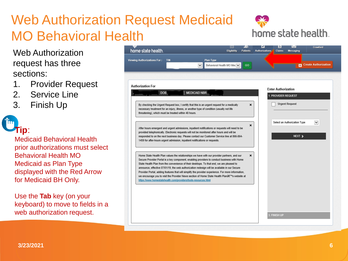## Web Authorization Request Medicaid MO Behavioral Health

Web Authorization request has three sections:

- 1. Provider Request
- 2. Service Line
- 3. Finish Up

# **Tip**:

Medicaid Behavioral Health prior authorizations must select Behavioral Health MO Medicaid as Plan Type displayed with the Red Arrow for Medicaid BH Only.

Use the **Tab** key (on your keyboard) to move to fields in a web authorization request.

| DOB:                                                 | <b>MEDICAID NBR:</b>                                                                                                                                                                                                                                                                                                                                                                   |                                                                                                         | <b>Enter Authorization</b> |        |
|------------------------------------------------------|----------------------------------------------------------------------------------------------------------------------------------------------------------------------------------------------------------------------------------------------------------------------------------------------------------------------------------------------------------------------------------------|---------------------------------------------------------------------------------------------------------|----------------------------|--------|
|                                                      |                                                                                                                                                                                                                                                                                                                                                                                        |                                                                                                         | 1. PROVIDER REQUEST        |        |
| threatening), which must be treated within 48 hours. | By checking the Urgent Request box, I certify that this is an urgent request for a medically<br>necessary treatment for an injury, illness, or another type of condition (usually not life                                                                                                                                                                                             | ×                                                                                                       | <b>Urgent Request</b>      |        |
|                                                      | After hours emergent and urgent admissions, inpatient notifications or requests will need to be<br>provided telephonically. Electronic requests will not be monitored after hours and will be<br>responded to on the next business day. Please contact our Customer Service line at 866-864-<br>1459 for after-hours urgent admission, inpatient notifications or requests.            |                                                                                                         |                            | NEXT > |
|                                                      | Home State Health Plan values the relationships we have with our provider partners, and our<br>Secure Provider Portal is a key component, enabling providers to conduct business with Home<br>State Health Plan from the convenience of their desktops. To that end, we are pleased to<br>announce, effective 07/01/19, the web authorization redesign will be available in our Secure | ×<br>Provider Portal, adding features that will simplify the provider experience. For more information, |                            |        |

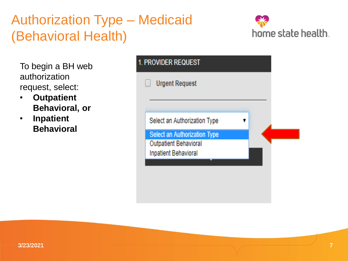## Authorization Type – Medicaid (Behavioral Health)



To begin a BH web authorization request, select:

• **Outpatient Behavioral, or**

• **Inpatient Behavioral**

| <b>PROVIDER REQUEST</b>             |  |  |  |  |  |  |
|-------------------------------------|--|--|--|--|--|--|
| <b>Urgent Request</b>               |  |  |  |  |  |  |
|                                     |  |  |  |  |  |  |
| Select an Authorization Type        |  |  |  |  |  |  |
| <b>Select an Authorization Type</b> |  |  |  |  |  |  |
| <b>Outpatient Behavioral</b>        |  |  |  |  |  |  |
| <b>Inpatient Behavioral</b>         |  |  |  |  |  |  |
|                                     |  |  |  |  |  |  |
|                                     |  |  |  |  |  |  |
|                                     |  |  |  |  |  |  |
|                                     |  |  |  |  |  |  |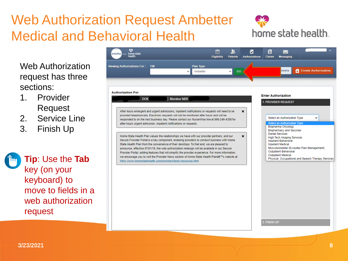## Web Authorization Request Ambetter Medical and Behavioral Health



Web Authorization request has three sections:

- 1. Provider Request
- 2. Service Line
- 3. Finish Up

**Tip**: Use the **Tab** key (on your keyboard) to move to fields in a web authorization request

|                                                                    | <b>TIN</b> | <b>Plan Type</b><br>Ambetter<br>$\checkmark$                                                                                                                                                       | v<br>GO |   |                            | heets                                                               | <b>Create Authorization</b><br>A                   |
|--------------------------------------------------------------------|------------|----------------------------------------------------------------------------------------------------------------------------------------------------------------------------------------------------|---------|---|----------------------------|---------------------------------------------------------------------|----------------------------------------------------|
|                                                                    |            |                                                                                                                                                                                                    |         |   |                            |                                                                     |                                                    |
| <b>Authorization For</b>                                           |            |                                                                                                                                                                                                    |         |   |                            |                                                                     |                                                    |
| <b>DOB</b>                                                         |            | <b>Member NBR</b>                                                                                                                                                                                  |         |   | <b>Enter Authorization</b> | 1. PROVIDER REQUEST                                                 |                                                    |
|                                                                    |            |                                                                                                                                                                                                    |         |   |                            |                                                                     |                                                    |
|                                                                    |            | After hours emergent and urgent admissions, inpatient notifications or requests will need to be<br>provided telephonically. Electronic requests will not be monitored after hours and will be      |         | × |                            |                                                                     |                                                    |
| after-hours urgent admission, inpatient notifications or requests. |            | responded to on the next business day. Please contact our NurseWise line at 866-246-4358 for                                                                                                       |         |   |                            | Select an Authorization Type<br><b>Select an Authorization Type</b> | v                                                  |
|                                                                    |            |                                                                                                                                                                                                    |         |   |                            | <b>Biopharma Oncology</b><br><b>Biopharmacy and Vaccines</b>        |                                                    |
|                                                                    |            | Home State Health Plan values the relationships we have with our provider partners, and our                                                                                                        |         | × |                            | <b>Dental Services</b><br><b>High Tech Imaging Services</b>         |                                                    |
|                                                                    |            | Secure Provider Portal is a key component, enabling providers to conduct business with Home<br>State Health Plan from the convenience of their desktops. To that end, we are pleased to            |         |   |                            | <b>Inpatient Behavioral</b><br><b>Inpatient Medical</b>             |                                                    |
|                                                                    |            | announce, effective 07/01/19, the web authorization redesign will be available in our Secure<br>Provider Portal, adding features that will simplify the provider experience. For more information, |         |   |                            | <b>Outpatient Behavioral</b>                                        | Musculoskeletal (Excludes Pain Management)         |
| https://www.homestatehealth.com/providers/tools-resources.html     |            | we encourage you to visit the Provider News section of Home State Health Plan's website at                                                                                                         |         |   |                            | <b>Outpatient Medical</b>                                           | Physical, Occupational and Speech Therapy Services |
|                                                                    |            |                                                                                                                                                                                                    |         |   |                            |                                                                     |                                                    |
|                                                                    |            |                                                                                                                                                                                                    |         |   |                            |                                                                     |                                                    |
|                                                                    |            |                                                                                                                                                                                                    |         |   |                            |                                                                     |                                                    |
|                                                                    |            |                                                                                                                                                                                                    |         |   |                            |                                                                     |                                                    |
|                                                                    |            |                                                                                                                                                                                                    |         |   |                            |                                                                     |                                                    |
|                                                                    |            |                                                                                                                                                                                                    |         |   |                            |                                                                     |                                                    |
|                                                                    |            |                                                                                                                                                                                                    |         |   |                            |                                                                     |                                                    |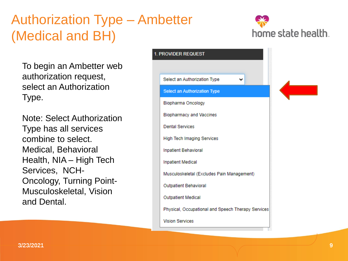## Authorization Type – Ambetter (Medical and BH)



To begin an Ambetter web authorization request, select an Authorization Type.

Note: Select Authorization Type has all services combine to select. Medical, Behavioral Health, NIA – High Tech Services, NCH-Oncology, Turning Point-Musculoskeletal, Vision and Dental.

| 1. PROVIDER REQUEST                                |  |  |
|----------------------------------------------------|--|--|
|                                                    |  |  |
| Select an Authorization Type                       |  |  |
| <b>Select an Authorization Type</b>                |  |  |
| <b>Biopharma Oncology</b>                          |  |  |
| <b>Biopharmacy and Vaccines</b>                    |  |  |
| <b>Dental Services</b>                             |  |  |
| <b>High Tech Imaging Services</b>                  |  |  |
| <b>Inpatient Behavioral</b>                        |  |  |
| <b>Inpatient Medical</b>                           |  |  |
| Musculoskeletal (Excludes Pain Management)         |  |  |
| <b>Outpatient Behavioral</b>                       |  |  |
| <b>Outpatient Medical</b>                          |  |  |
| Physical, Occupational and Speech Therapy Services |  |  |
| <b>Vision Services</b>                             |  |  |
|                                                    |  |  |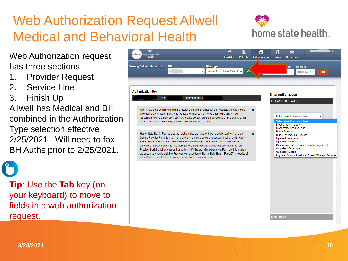## Web Authorization Request Allwell Medical and Behavioral Health



Web Authorization request has three sections:

- 1. Provider Request
- 2. Service Line
- 3. Finish Up

Allwell has Medical and BH combined in the Authorization Type selection effective 2/25/2021. Will need to fax BH Auths prior to 2/25/2021.

**Tip**: Use the **Tab** key (on your keyboard) to move to fields in a web authorization request.

| <b>Authorization For</b>                                                                                                                                                                                                                                                                                                                                                                                                                                                                                                                                                                                                                                     |   | <b>Enter Authorization</b>                                                                                                                                                                                                                                                                                                 |   |
|--------------------------------------------------------------------------------------------------------------------------------------------------------------------------------------------------------------------------------------------------------------------------------------------------------------------------------------------------------------------------------------------------------------------------------------------------------------------------------------------------------------------------------------------------------------------------------------------------------------------------------------------------------------|---|----------------------------------------------------------------------------------------------------------------------------------------------------------------------------------------------------------------------------------------------------------------------------------------------------------------------------|---|
| <b>DOB</b><br><b>Member NBR:</b>                                                                                                                                                                                                                                                                                                                                                                                                                                                                                                                                                                                                                             |   | 1. PROVIDER REQUEST                                                                                                                                                                                                                                                                                                        |   |
| After hours emergent and urgent admissions, inpatient notifications or requests will need to be<br>provided telephonically. Electronic requests will not be monitored after hours and will be<br>responded to on the next business day. Please contact our NurseWise line at 866-246-4358 for<br>after-hours urgent admission, inpatient notifications or requests.                                                                                                                                                                                                                                                                                          | × | Select an Authorization Type<br><b>Select an Authorization Type</b><br><b>Biopharma Oncology</b>                                                                                                                                                                                                                           | v |
| Home State Health Plan values the relationships we have with our provider partners, and our<br>Secure Provider Portal is a key component, enabling providers to conduct business with Home<br>State Health Plan from the convenience of their desktops. To that end, we are pleased to<br>announce, effective 07/01/19, the web authorization redesign will be available in our Secure<br>Provider Portal, adding features that will simplify the provider experience. For more information,<br>we encourage you to visit the Provider News section of Home State Health Plan's website at<br>https://www.homestatehealth.com/providers/tools-resources.html | × | <b>Biopharmacy and Vaccines</b><br><b>Dental Services</b><br><b>High Tech Imaging Services</b><br><b>Inpatient Behavioral</b><br><b>Inpatient Medical</b><br>Musculoskeletal (Excludes Pain Management)<br><b>Outpatient Behavioral</b><br><b>Outpatient Medical</b><br>Physical, Occupational and Speech Therapy Services |   |
|                                                                                                                                                                                                                                                                                                                                                                                                                                                                                                                                                                                                                                                              |   |                                                                                                                                                                                                                                                                                                                            |   |
|                                                                                                                                                                                                                                                                                                                                                                                                                                                                                                                                                                                                                                                              |   |                                                                                                                                                                                                                                                                                                                            |   |
|                                                                                                                                                                                                                                                                                                                                                                                                                                                                                                                                                                                                                                                              |   |                                                                                                                                                                                                                                                                                                                            |   |

์ <mark>ไ</mark>ม